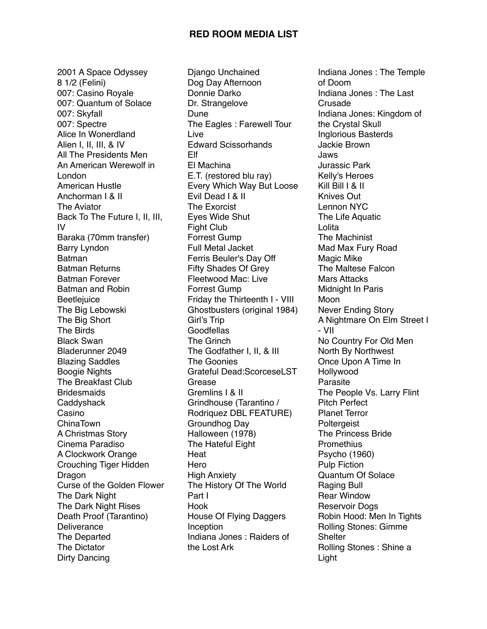2001 A Space Odyssey 8 1/2 (Felini) 007: Casino Royale 007: Quantum of Solace 007: Skyfall 007: Spectre Alice In Wonerdland Alien I, II, III, & IV All The Presidents Men An American Werewolf in London American Hustle Anchorman I & II The Aviator Back To The Future I, II, III, IV Baraka (70mm transfer) Barry Lyndon Batman Batman Returns Batman Forever Batman and Robin **Beetlejuice** The Big Lebowski The Big Short The Birds Black Swan Bladerunner 2049 Blazing Saddles Boogie Nights The Breakfast Club **Bridesmaids Caddyshack** Casino ChinaTown A Christmas Story Cinema Paradiso A Clockwork Orange Crouching Tiger Hidden Dragon Curse of the Golden Flower The Dark Night The Dark Night Rises Death Proof (Tarantino) **Deliverance** The Departed The Dictator Dirty Dancing

Django Unchained Dog Day Afternoon Donnie Darko Dr. Strangelove Dune The Eagles : Farewell Tour Live Edward Scissorhands Elf El Machina E.T. (restored blu ray) Every Which Way But Loose Evil Dead I & II The Exorcist Eyes Wide Shut Fight Club Forrest Gump Full Metal Jacket Ferris Beuler's Day Off Fifty Shades Of Grey Fleetwood Mac: Live Forrest Gump Friday the Thirteenth I - VIII Ghostbusters (original 1984) Girl's Trip **Goodfellas** The Grinch The Godfather I, II, & III The Goonies Grateful Dead:ScorceseLST Grease Gremlins I & II Grindhouse (Tarantino / Rodriquez DBL FEATURE) Groundhog Day Halloween (1978) The Hateful Eight Heat **Hero** High Anxiety The History Of The World Part I Hook House Of Flying Daggers Inception Indiana Jones : Raiders of the Lost Ark

Indiana Jones : The Temple of Doom Indiana Jones : The Last Crusade Indiana Jones: Kingdom of the Crystal Skull Inglorious Basterds Jackie Brown Jaws Jurassic Park Kelly's Heroes Kill Bill I & II Knives Out Lennon NYC The Life Aquatic Lolita The Machinist Mad Max Fury Road Magic Mike The Maltese Falcon Mars Attacks Midnight In Paris Moon Never Ending Story A Nightmare On Elm Street I - VII No Country For Old Men North By Northwest Once Upon A Time In Hollywood Parasite The People Vs. Larry Flint Pitch Perfect Planet Terror **Poltergeist** The Princess Bride **Promethius** Psycho (1960) Pulp Fiction Quantum Of Solace Raging Bull Rear Window Reservoir Dogs Robin Hood: Men In Tights Rolling Stones: Gimme **Shelter** Rolling Stones : Shine a Light